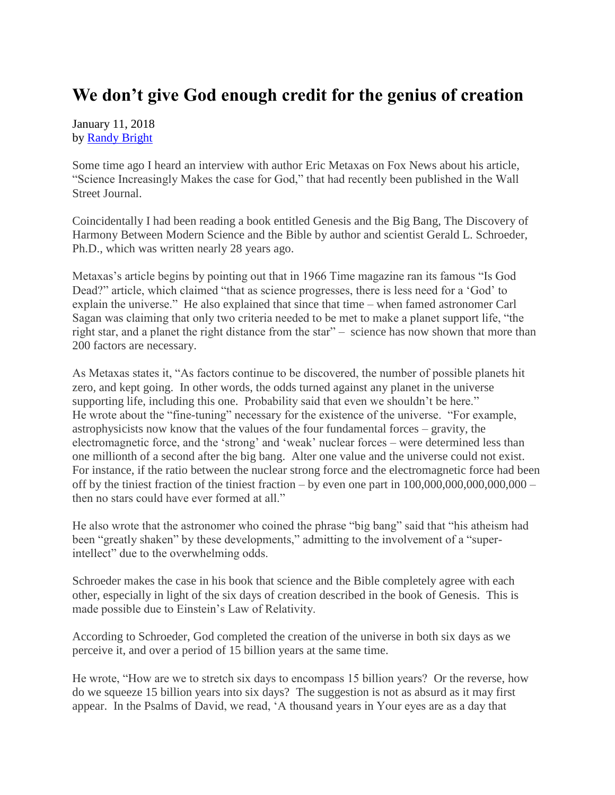## **We don't give God enough credit for the genius of creation**

January 11, 2018 by [Randy Bright](http://tulsabeacon.com/writers/randy-bright/)

Some time ago I heard an interview with author Eric Metaxas on Fox News about his article, "Science Increasingly Makes the case for God," that had recently been published in the Wall Street Journal.

Coincidentally I had been reading a book entitled Genesis and the Big Bang, The Discovery of Harmony Between Modern Science and the Bible by author and scientist Gerald L. Schroeder, Ph.D., which was written nearly 28 years ago.

Metaxas's article begins by pointing out that in 1966 Time magazine ran its famous "Is God Dead?" article, which claimed "that as science progresses, there is less need for a 'God' to explain the universe." He also explained that since that time – when famed astronomer Carl Sagan was claiming that only two criteria needed to be met to make a planet support life, "the right star, and a planet the right distance from the star" – science has now shown that more than 200 factors are necessary.

As Metaxas states it, "As factors continue to be discovered, the number of possible planets hit zero, and kept going. In other words, the odds turned against any planet in the universe supporting life, including this one. Probability said that even we shouldn't be here." He wrote about the "fine-tuning" necessary for the existence of the universe. "For example, astrophysicists now know that the values of the four fundamental forces – gravity, the electromagnetic force, and the 'strong' and 'weak' nuclear forces – were determined less than one millionth of a second after the big bang. Alter one value and the universe could not exist. For instance, if the ratio between the nuclear strong force and the electromagnetic force had been off by the tiniest fraction of the tiniest fraction – by even one part in  $100,000,000,000,000,000$  – then no stars could have ever formed at all."

He also wrote that the astronomer who coined the phrase "big bang" said that "his atheism had been "greatly shaken" by these developments," admitting to the involvement of a "superintellect" due to the overwhelming odds.

Schroeder makes the case in his book that science and the Bible completely agree with each other, especially in light of the six days of creation described in the book of Genesis. This is made possible due to Einstein's Law of Relativity.

According to Schroeder, God completed the creation of the universe in both six days as we perceive it, and over a period of 15 billion years at the same time.

He wrote, "How are we to stretch six days to encompass 15 billion years? Or the reverse, how do we squeeze 15 billion years into six days? The suggestion is not as absurd as it may first appear. In the Psalms of David, we read, 'A thousand years in Your eyes are as a day that